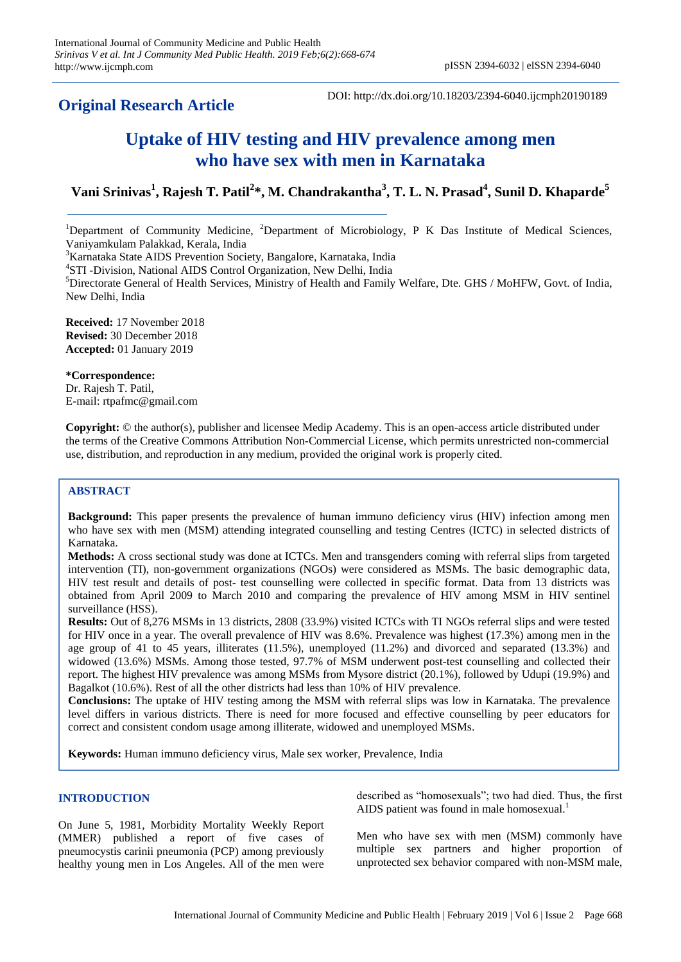# **Original Research Article**

DOI: http://dx.doi.org/10.18203/2394-6040.ijcmph20190189

# **Uptake of HIV testing and HIV prevalence among men who have sex with men in Karnataka**

# **Vani Srinivas<sup>1</sup> , Rajesh T. Patil<sup>2</sup> \*, M. Chandrakantha<sup>3</sup> , T. L. N. Prasad<sup>4</sup> , Sunil D. Khaparde<sup>5</sup>**

<sup>1</sup>Department of Community Medicine, <sup>2</sup>Department of Microbiology, P K Das Institute of Medical Sciences, Vaniyamkulam Palakkad, Kerala, India

<sup>3</sup>Karnataka State AIDS Prevention Society, Bangalore, Karnataka, India

4 STI -Division, National AIDS Control Organization, New Delhi, India

<sup>5</sup>Directorate General of Health Services, Ministry of Health and Family Welfare, Dte. GHS / MoHFW, Govt. of India, New Delhi, India

**Received:** 17 November 2018 **Revised:** 30 December 2018 **Accepted:** 01 January 2019

#### **\*Correspondence:**

Dr. Rajesh T. Patil, E-mail: rtpafmc@gmail.com

**Copyright:** © the author(s), publisher and licensee Medip Academy. This is an open-access article distributed under the terms of the Creative Commons Attribution Non-Commercial License, which permits unrestricted non-commercial use, distribution, and reproduction in any medium, provided the original work is properly cited.

# **ABSTRACT**

**Background:** This paper presents the prevalence of human immuno deficiency virus (HIV) infection among men who have sex with men (MSM) attending integrated counselling and testing Centres (ICTC) in selected districts of Karnataka.

**Methods:** A cross sectional study was done at ICTCs. Men and transgenders coming with referral slips from targeted intervention (TI), non-government organizations (NGOs) were considered as MSMs. The basic demographic data, HIV test result and details of post- test counselling were collected in specific format. Data from 13 districts was obtained from April 2009 to March 2010 and comparing the prevalence of HIV among MSM in HIV sentinel surveillance (HSS).

**Results:** Out of 8,276 MSMs in 13 districts, 2808 (33.9%) visited ICTCs with TI NGOs referral slips and were tested for HIV once in a year. The overall prevalence of HIV was 8.6%. Prevalence was highest (17.3%) among men in the age group of 41 to 45 years, illiterates (11.5%), unemployed (11.2%) and divorced and separated (13.3%) and widowed (13.6%) MSMs. Among those tested, 97.7% of MSM underwent post-test counselling and collected their report. The highest HIV prevalence was among MSMs from Mysore district (20.1%), followed by Udupi (19.9%) and Bagalkot (10.6%). Rest of all the other districts had less than 10% of HIV prevalence.

**Conclusions:** The uptake of HIV testing among the MSM with referral slips was low in Karnataka. The prevalence level differs in various districts. There is need for more focused and effective counselling by peer educators for correct and consistent condom usage among illiterate, widowed and unemployed MSMs.

**Keywords:** Human immuno deficiency virus, Male sex worker, Prevalence, India

# **INTRODUCTION**

On June 5, 1981, Morbidity Mortality Weekly Report (MMER) published a report of five cases of pneumocystis carinii pneumonia (PCP) among previously healthy young men in Los Angeles. All of the men were described as "homosexuals"; two had died. Thus, the first AIDS patient was found in male homosexual.<sup>1</sup>

Men who have sex with men (MSM) commonly have multiple sex partners and higher proportion of unprotected sex behavior compared with non-MSM male,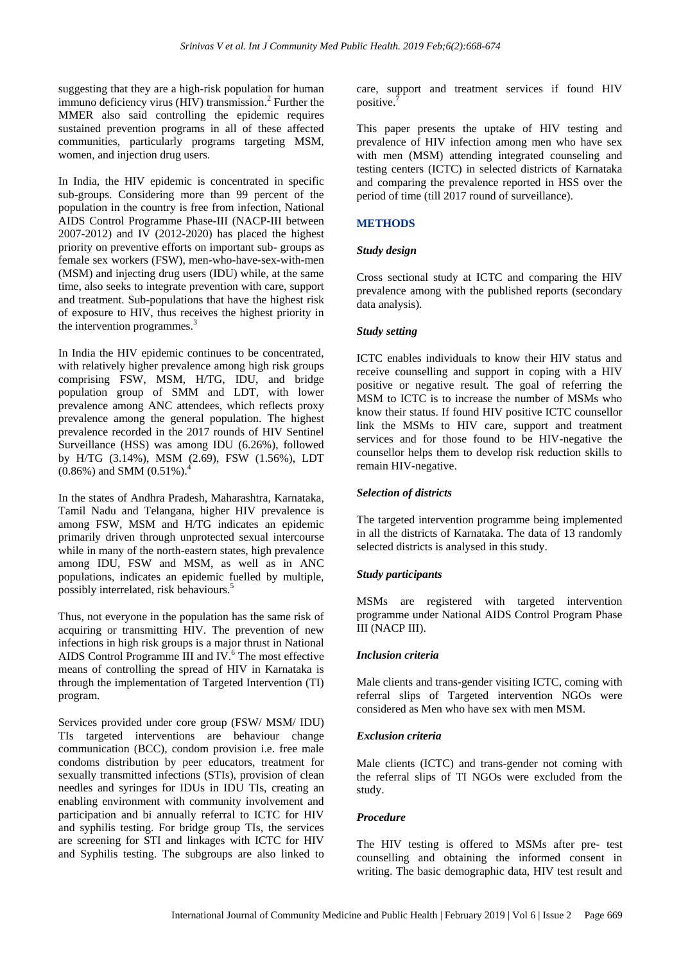suggesting that they are a high-risk population for human immuno deficiency virus (HIV) transmission.<sup>2</sup> Further the MMER also said controlling the epidemic requires sustained prevention programs in all of these affected communities, particularly programs targeting MSM, women, and injection drug users.

In India, the HIV epidemic is concentrated in specific sub-groups. Considering more than 99 percent of the population in the country is free from infection, National AIDS Control Programme Phase-III (NACP-III between 2007-2012) and IV (2012-2020) has placed the highest priority on preventive efforts on important sub- groups as female sex workers (FSW), men-who-have-sex-with-men (MSM) and injecting drug users (IDU) while, at the same time, also seeks to integrate prevention with care, support and treatment. Sub-populations that have the highest risk of exposure to HIV, thus receives the highest priority in the intervention programmes.<sup>3</sup>

In India the HIV epidemic continues to be concentrated, with relatively higher prevalence among high risk groups comprising FSW, MSM, H/TG, IDU, and bridge population group of SMM and LDT, with lower prevalence among ANC attendees, which reflects proxy prevalence among the general population. The highest prevalence recorded in the 2017 rounds of HIV Sentinel Surveillance (HSS) was among IDU (6.26%), followed by H/TG (3.14%), MSM (2.69), FSW (1.56%), LDT  $(0.86\%)$  and SMM  $(0.51\%)$ <sup>4</sup>

In the states of Andhra Pradesh, Maharashtra, Karnataka, Tamil Nadu and Telangana, higher HIV prevalence is among FSW, MSM and H/TG indicates an epidemic primarily driven through unprotected sexual intercourse while in many of the north-eastern states, high prevalence among IDU, FSW and MSM, as well as in ANC populations, indicates an epidemic fuelled by multiple, possibly interrelated, risk behaviours.<sup>5</sup>

Thus, not everyone in the population has the same risk of acquiring or transmitting HIV. The prevention of new infections in high risk groups is a major thrust in National AIDS Control Programme III and IV.<sup>6</sup> The most effective means of controlling the spread of HIV in Karnataka is through the implementation of Targeted Intervention (TI) program.

Services provided under core group (FSW/ MSM/ IDU) TIs targeted interventions are behaviour change communication (BCC), condom provision i.e. free male condoms distribution by peer educators, treatment for sexually transmitted infections (STIs), provision of clean needles and syringes for IDUs in IDU TIs, creating an enabling environment with community involvement and participation and bi annually referral to ICTC for HIV and syphilis testing. For bridge group TIs, the services are screening for STI and linkages with ICTC for HIV and Syphilis testing. The subgroups are also linked to care, support and treatment services if found HIV positive.

This paper presents the uptake of HIV testing and prevalence of HIV infection among men who have sex with men (MSM) attending integrated counseling and testing centers (ICTC) in selected districts of Karnataka and comparing the prevalence reported in HSS over the period of time (till 2017 round of surveillance).

# **METHODS**

# *Study design*

Cross sectional study at ICTC and comparing the HIV prevalence among with the published reports (secondary data analysis).

# *Study setting*

ICTC enables individuals to know their HIV status and receive counselling and support in coping with a HIV positive or negative result. The goal of referring the MSM to ICTC is to increase the number of MSMs who know their status. If found HIV positive ICTC counsellor link the MSMs to HIV care, support and treatment services and for those found to be HIV-negative the counsellor helps them to develop risk reduction skills to remain HIV-negative.

# *Selection of districts*

The targeted intervention programme being implemented in all the districts of Karnataka. The data of 13 randomly selected districts is analysed in this study.

# *Study participants*

MSMs are registered with targeted intervention programme under National AIDS Control Program Phase III (NACP III).

# *Inclusion criteria*

Male clients and trans-gender visiting ICTC, coming with referral slips of Targeted intervention NGOs were considered as Men who have sex with men MSM.

# *Exclusion criteria*

Male clients (ICTC) and trans-gender not coming with the referral slips of TI NGOs were excluded from the study.

# *Procedure*

The HIV testing is offered to MSMs after pre- test counselling and obtaining the informed consent in writing. The basic demographic data, HIV test result and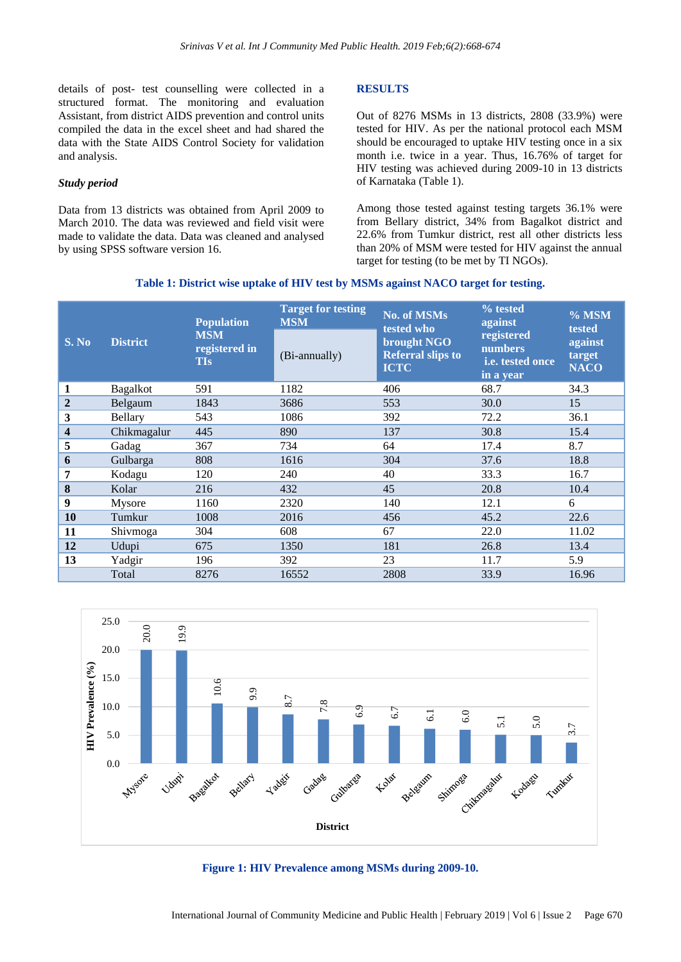details of post- test counselling were collected in a structured format. The monitoring and evaluation Assistant, from district AIDS prevention and control units compiled the data in the excel sheet and had shared the data with the State AIDS Control Society for validation and analysis.

#### *Study period*

Data from 13 districts was obtained from April 2009 to March 2010. The data was reviewed and field visit were made to validate the data. Data was cleaned and analysed by using SPSS software version 16.

#### **RESULTS**

Out of 8276 MSMs in 13 districts, 2808 (33.9%) were tested for HIV. As per the national protocol each MSM should be encouraged to uptake HIV testing once in a six month i.e. twice in a year. Thus, 16.76% of target for HIV testing was achieved during 2009-10 in 13 districts of Karnataka (Table 1).

Among those tested against testing targets 36.1% were from Bellary district, 34% from Bagalkot district and 22.6% from Tumkur district, rest all other districts less than 20% of MSM were tested for HIV against the annual target for testing (to be met by TI NGOs).

| Table 1: District wise uptake of HIV test by MSMs against NACO target for testing. |  |  |  |
|------------------------------------------------------------------------------------|--|--|--|
|------------------------------------------------------------------------------------|--|--|--|

| S. No                   | <b>District</b> | <b>Population</b><br><b>MSM</b><br>registered in<br><b>TIs</b> | <b>Target for testing</b><br><b>MSM</b><br>(Bi-annually) | <b>No. of MSMs</b><br>tested who<br>brought NGO<br><b>Referral slips to</b><br><b>ICTC</b> | % tested<br>against<br>registered<br><b>numbers</b><br>i.e. tested once<br>in a year | $%$ MSM<br>tested<br>against<br>target<br><b>NACO</b> |
|-------------------------|-----------------|----------------------------------------------------------------|----------------------------------------------------------|--------------------------------------------------------------------------------------------|--------------------------------------------------------------------------------------|-------------------------------------------------------|
| $\mathbf{1}$            | <b>Bagalkot</b> | 591                                                            | 1182                                                     | 406                                                                                        | 68.7                                                                                 | 34.3                                                  |
| $\overline{2}$          | Belgaum         | 1843                                                           | 3686                                                     | 553                                                                                        | 30.0                                                                                 | 15                                                    |
| 3                       | Bellary         | 543                                                            | 1086                                                     | 392                                                                                        | 72.2                                                                                 | 36.1                                                  |
| $\overline{\mathbf{4}}$ | Chikmagalur     | 445                                                            | 890                                                      | 137                                                                                        | 30.8                                                                                 | 15.4                                                  |
| 5                       | Gadag           | 367                                                            | 734                                                      | 64                                                                                         | 17.4                                                                                 | 8.7                                                   |
| 6                       | Gulbarga        | 808                                                            | 1616                                                     | 304                                                                                        | 37.6                                                                                 | 18.8                                                  |
| 7                       | Kodagu          | 120                                                            | 240                                                      | 40                                                                                         | 33.3                                                                                 | 16.7                                                  |
| 8                       | Kolar           | 216                                                            | 432                                                      | 45                                                                                         | 20.8                                                                                 | 10.4                                                  |
| $\boldsymbol{9}$        | Mysore          | 1160                                                           | 2320                                                     | 140                                                                                        | 12.1                                                                                 | 6                                                     |
| 10                      | Tumkur          | 1008                                                           | 2016                                                     | 456                                                                                        | 45.2                                                                                 | 22.6                                                  |
| 11                      | Shivmoga        | 304                                                            | 608                                                      | 67                                                                                         | 22.0                                                                                 | 11.02                                                 |
| 12                      | Udupi           | 675                                                            | 1350                                                     | 181                                                                                        | 26.8                                                                                 | 13.4                                                  |
| 13                      | Yadgir          | 196                                                            | 392                                                      | 23                                                                                         | 11.7                                                                                 | 5.9                                                   |
|                         | Total           | 8276                                                           | 16552                                                    | 2808                                                                                       | 33.9                                                                                 | 16.96                                                 |



**Figure 1: HIV Prevalence among MSMs during 2009-10.**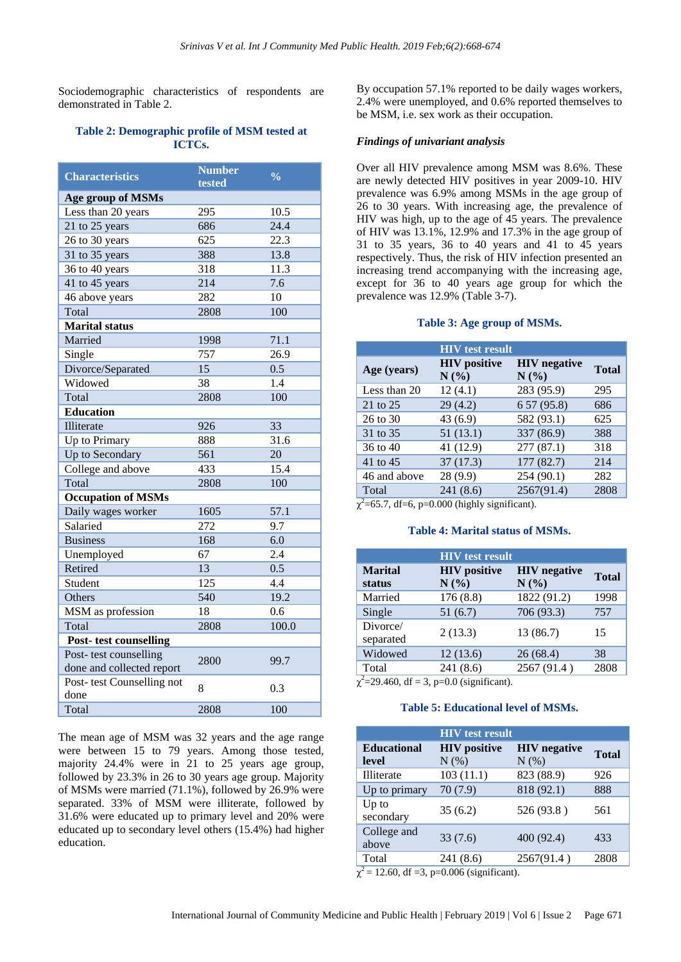Sociodemographic characteristics of respondents are demonstrated in Table 2.

# **Table 2: Demographic profile of MSM tested at ICTCs.**

| <b>Characteristics</b>      | <b>Number</b><br>tested | $\frac{0}{0}$ |
|-----------------------------|-------------------------|---------------|
| Age group of MSMs           |                         |               |
| Less than 20 years          | 295                     | 10.5          |
| 21 to 25 years              | 686                     | 24.4          |
| $\overline{26}$ to 30 years | 625                     | 22.3          |
| 31 to 35 years              | 388                     | 13.8          |
| 36 to 40 years              | 318                     | 11.3          |
| 41 to 45 years              | 214                     | 7.6           |
| 46 above years              | 282                     | 10            |
| Total                       | 2808                    | 100           |
| <b>Marital status</b>       |                         |               |
| Married                     | 1998                    | 71.1          |
| Single                      | 757                     | 26.9          |
| Divorce/Separated           | 15                      | 0.5           |
| Widowed                     | 38                      | 1.4           |
| Total                       | 2808                    | 100           |
| <b>Education</b>            |                         |               |
| Illiterate                  | 926                     | 33            |
| Up to Primary               | 888                     | 31.6          |
| Up to Secondary             | 561                     | 20            |
| College and above           | 433                     | 15.4          |
| Total                       | 2808                    | 100           |
| <b>Occupation of MSMs</b>   |                         |               |
| Daily wages worker          | 1605                    | 57.1          |
| Salaried                    | 272                     | 9.7           |
| <b>Business</b>             | 168                     | 6.0           |
| Unemployed                  | 67                      | 2.4           |
| Retired                     | 13                      | 0.5           |
| Student                     | 125                     | 4.4           |
| Others                      | 540                     | 19.2          |
| MSM as profession           | 18                      | 0.6           |
| Total                       | 2808                    | 100.0         |
| Post-test counselling       |                         |               |
| Post- test counselling      | 2800                    | 99.7          |
| done and collected report   |                         |               |
| Post-test Counselling not   | 8                       | 0.3           |
| done                        |                         |               |
| Total                       | 2808                    | 100           |

The mean age of MSM was 32 years and the age range were between 15 to 79 years. Among those tested, majority 24.4% were in 21 to 25 years age group, followed by 23.3% in 26 to 30 years age group. Majority of MSMs were married (71.1%), followed by 26.9% were separated. 33% of MSM were illiterate, followed by 31.6% were educated up to primary level and 20% were educated up to secondary level others (15.4%) had higher education.

By occupation 57.1% reported to be daily wages workers, 2.4% were unemployed, and 0.6% reported themselves to be MSM, i.e. sex work as their occupation.

# *Findings of univariant analysis*

Over all HIV prevalence among MSM was 8.6%. These are newly detected HIV positives in year 2009-10. HIV prevalence was 6.9% among MSMs in the age group of 26 to 30 years. With increasing age, the prevalence of HIV was high, up to the age of 45 years. The prevalence of HIV was 13.1%, 12.9% and 17.3% in the age group of 31 to 35 years, 36 to 40 years and 41 to 45 years respectively. Thus, the risk of HIV infection presented an increasing trend accompanying with the increasing age, except for 36 to 40 years age group for which the prevalence was 12.9% (Table 3-7).

#### **Table 3: Age group of MSMs.**

|              | <b>HIV</b> test result      |                             |              |
|--------------|-----------------------------|-----------------------------|--------------|
| Age (years)  | <b>HIV</b> positive<br>N(%) | <b>HIV</b> negative<br>N(%) | <b>Total</b> |
| Less than 20 | 12(4.1)                     | 283 (95.9)                  | 295          |
| 21 to 25     | 29(4.2)                     | 6 57 (95.8)                 | 686          |
| 26 to 30     | 43(6.9)                     | 582 (93.1)                  | 625          |
| 31 to 35     | 51(13.1)                    | 337 (86.9)                  | 388          |
| 36 to 40     | 41 (12.9)                   | 277(87.1)                   | 318          |
| 41 to 45     | 37(17.3)                    | 177 (82.7)                  | 214          |
| 46 and above | 28 (9.9)                    | 254 (90.1)                  | 282          |
| Total        | 241 (8.6)                   | 2567(91.4)                  | 2808         |

 $\chi^2$ =65.7, df=6, p=0.000 (highly significant).

# **Table 4: Marital status of MSMs.**

|                          | <b>HIV</b> test result                              |                             |              |
|--------------------------|-----------------------------------------------------|-----------------------------|--------------|
| <b>Marital</b><br>status | <b>HIV</b> positive<br>N(%)                         | <b>HIV</b> negative<br>N(%) | <b>Total</b> |
| Married                  | 176(8.8)                                            | 1822 (91.2)                 | 1998         |
| Single                   | 51(6.7)                                             | 706 (93.3)                  | 757          |
| Divorce/<br>separated    | 2(13.3)                                             | 13 (86.7)                   | 15           |
| Widowed                  | 12(13.6)                                            | 26(68.4)                    | 38           |
| Total<br>$2 - 120$       | 241 (8.6)<br>$\cdot$<br>$\sim$ $\sim$ $\sim$ $\sim$ | 2567 (91.4)                 | 2808         |

 $\chi^2$ =29.460, df = 3, p=0.0 (significant).

# **Table 5: Educational level of MSMs.**

|                      | <b>HIV</b> test result |                     |              |
|----------------------|------------------------|---------------------|--------------|
| <b>Educational</b>   | <b>HIV</b> positive    | <b>HIV</b> negative | <b>Total</b> |
| level                | N(%)                   | N(%)                |              |
| Illiterate           | 103(11.1)              | 823 (88.9)          | 926          |
| Up to primary        | 70(7.9)                | 818 (92.1)          | 888          |
| Up to<br>secondary   | 35(6.2)                | 526 (93.8)          | 561          |
| College and<br>above | 33(7.6)                | 400 (92.4)          | 433          |
| Total<br>.           | 241 (8.6)              | 2567(91.4)          | 2808         |

 $\chi^2$  = 12.60, df =3, p=0.006 (significant).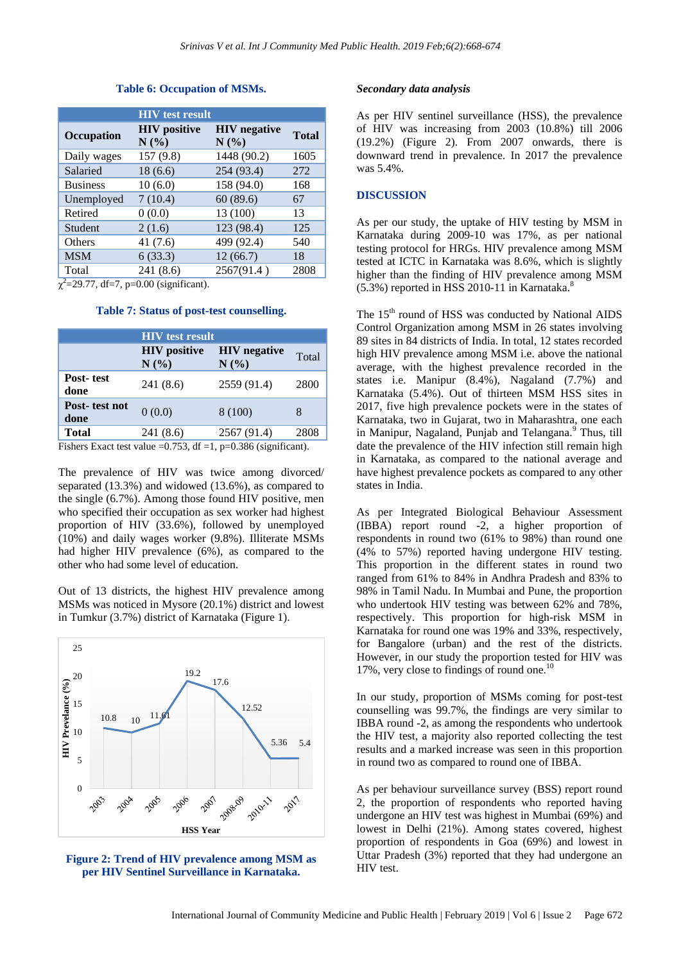#### **Table 6: Occupation of MSMs.**

|                   | <b>HIV</b> test result      |                             |              |
|-------------------|-----------------------------|-----------------------------|--------------|
| <b>Occupation</b> | <b>HIV</b> positive<br>N(%) | <b>HIV</b> negative<br>N(%) | <b>Total</b> |
| Daily wages       | 157 (9.8)                   | 1448 (90.2)                 | 1605         |
| Salaried          | 18(6.6)                     | 254 (93.4)                  | 272          |
| <b>Business</b>   | 10(6.0)                     | 158 (94.0)                  | 168          |
| Unemployed        | 7(10.4)                     | 60(89.6)                    | 67           |
| Retired           | 0(0.0)                      | 13 (100)                    | 13           |
| Student           | 2(1.6)                      | 123 (98.4)                  | 125          |
| Others            | 41(7.6)                     | 499 (92.4)                  | 540          |
| <b>MSM</b>        | 6(33.3)                     | 12(66.7)                    | 18           |
| Total             | 241 (8.6)                   | 2567(91.4)                  | 2808         |

 $\chi^2$ =29.77, df=7, p=0.00 (significant).

#### **Table 7: Status of post-test counselling.**

|                       | <b>HIV</b> test result      |                             |       |
|-----------------------|-----------------------------|-----------------------------|-------|
|                       | <b>HIV</b> positive<br>N(%) | <b>HIV</b> negative<br>N(%) | Total |
| Post-test<br>done     | 241 (8.6)                   | 2559 (91.4)                 | 2800  |
| Post-test not<br>done | 0(0.0)                      | 8 (100)                     | x     |
| <b>Total</b>          | 241 (8.6)                   | 2567 (91.4)                 | 2808  |

Fishers Exact test value =  $0.753$ , df = 1, p= $0.386$  (significant).

The prevalence of HIV was twice among divorced/ separated (13.3%) and widowed (13.6%), as compared to the single (6.7%). Among those found HIV positive, men who specified their occupation as sex worker had highest proportion of HIV (33.6%), followed by unemployed (10%) and daily wages worker (9.8%). Illiterate MSMs had higher HIV prevalence (6%), as compared to the other who had some level of education.

Out of 13 districts, the highest HIV prevalence among MSMs was noticed in Mysore (20.1%) district and lowest in Tumkur (3.7%) district of Karnataka (Figure 1).





#### *Secondary data analysis*

As per HIV sentinel surveillance (HSS), the prevalence of HIV was increasing from 2003 (10.8%) till 2006 (19.2%) (Figure 2). From 2007 onwards, there is downward trend in prevalence. In 2017 the prevalence was 5.4%.

#### **DISCUSSION**

As per our study, the uptake of HIV testing by MSM in Karnataka during 2009-10 was 17%, as per national testing protocol for HRGs. HIV prevalence among MSM tested at ICTC in Karnataka was 8.6%, which is slightly higher than the finding of HIV prevalence among MSM  $(5.3\%)$  reported in HSS 2010-11 in Karnataka.<sup>8</sup>

The 15<sup>th</sup> round of HSS was conducted by National AIDS Control Organization among MSM in 26 states involving 89 sites in 84 districts of India. In total, 12 states recorded high HIV prevalence among MSM i.e. above the national average, with the highest prevalence recorded in the states i.e. Manipur (8.4%), Nagaland (7.7%) and Karnataka (5.4%). Out of thirteen MSM HSS sites in 2017, five high prevalence pockets were in the states of Karnataka, two in Gujarat, two in Maharashtra, one each in Manipur, Nagaland, Punjab and Telangana.<sup>9</sup> Thus, till date the prevalence of the HIV infection still remain high in Karnataka, as compared to the national average and have highest prevalence pockets as compared to any other states in India.

As per Integrated Biological Behaviour Assessment (IBBA) report round -2, a higher proportion of respondents in round two (61% to 98%) than round one (4% to 57%) reported having undergone HIV testing. This proportion in the different states in round two ranged from 61% to 84% in Andhra Pradesh and 83% to 98% in Tamil Nadu. In Mumbai and Pune, the proportion who undertook HIV testing was between 62% and 78%, respectively. This proportion for high-risk MSM in Karnataka for round one was 19% and 33%, respectively, for Bangalore (urban) and the rest of the districts. However, in our study the proportion tested for HIV was 17%, very close to findings of round one. $^{10}$ 

In our study, proportion of MSMs coming for post-test counselling was 99.7%, the findings are very similar to IBBA round -2, as among the respondents who undertook the HIV test, a majority also reported collecting the test results and a marked increase was seen in this proportion in round two as compared to round one of IBBA.

As per behaviour surveillance survey (BSS) report round 2, the proportion of respondents who reported having undergone an HIV test was highest in Mumbai (69%) and lowest in Delhi (21%). Among states covered, highest proportion of respondents in Goa (69%) and lowest in Uttar Pradesh (3%) reported that they had undergone an HIV test.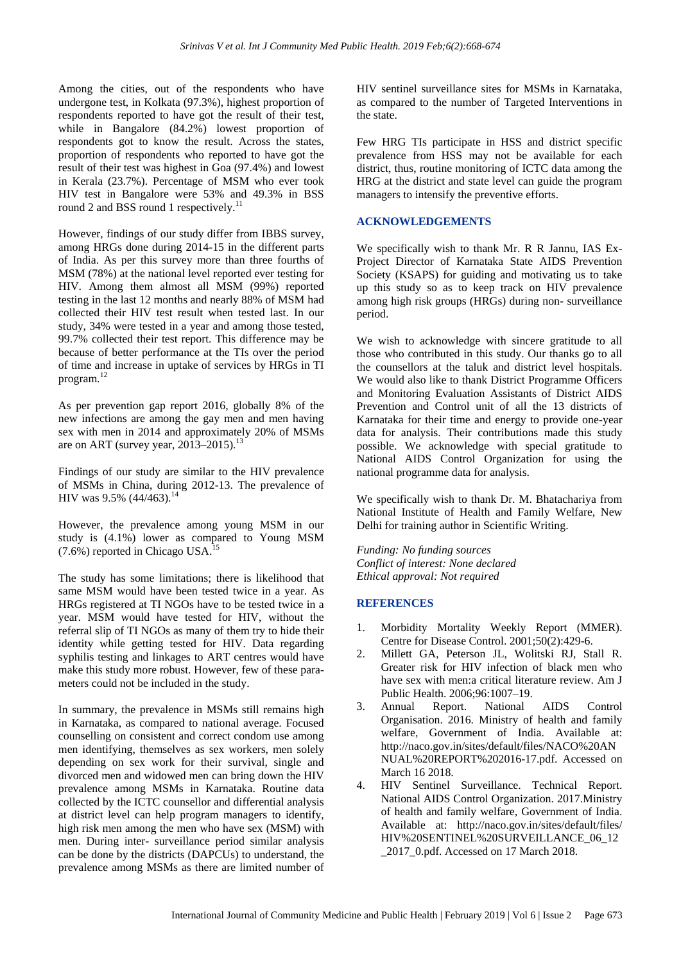Among the cities, out of the respondents who have undergone test, in Kolkata (97.3%), highest proportion of respondents reported to have got the result of their test, while in Bangalore (84.2%) lowest proportion of respondents got to know the result. Across the states, proportion of respondents who reported to have got the result of their test was highest in Goa (97.4%) and lowest in Kerala (23.7%). Percentage of MSM who ever took HIV test in Bangalore were 53% and 49.3% in BSS round 2 and BSS round 1 respectively.<sup>11</sup>

However, findings of our study differ from IBBS survey, among HRGs done during 2014-15 in the different parts of India. As per this survey more than three fourths of MSM (78%) at the national level reported ever testing for HIV. Among them almost all MSM (99%) reported testing in the last 12 months and nearly 88% of MSM had collected their HIV test result when tested last. In our study, 34% were tested in a year and among those tested, 99.7% collected their test report. This difference may be because of better performance at the TIs over the period of time and increase in uptake of services by HRGs in TI program.<sup>12</sup>

As per prevention gap report 2016, globally 8% of the new infections are among the gay men and men having sex with men in 2014 and approximately 20% of MSMs are on ART (survey year,  $2013-2015$ ).<sup>13</sup>

Findings of our study are similar to the HIV prevalence of MSMs in China, during 2012-13. The prevalence of HIV was  $9.5\%$  (44/463).<sup>14</sup>

However, the prevalence among young MSM in our study is (4.1%) lower as compared to Young MSM  $(7.6\%)$  reported in Chicago USA.

The study has some limitations; there is likelihood that same MSM would have been tested twice in a year. As HRGs registered at TI NGOs have to be tested twice in a year. MSM would have tested for HIV, without the referral slip of TI NGOs as many of them try to hide their identity while getting tested for HIV. Data regarding syphilis testing and linkages to ART centres would have make this study more robust. However, few of these parameters could not be included in the study.

In summary, the prevalence in MSMs still remains high in Karnataka, as compared to national average. Focused counselling on consistent and correct condom use among men identifying, themselves as sex workers, men solely depending on sex work for their survival, single and divorced men and widowed men can bring down the HIV prevalence among MSMs in Karnataka. Routine data collected by the ICTC counsellor and differential analysis at district level can help program managers to identify, high risk men among the men who have sex (MSM) with men. During inter- surveillance period similar analysis can be done by the districts (DAPCUs) to understand, the prevalence among MSMs as there are limited number of HIV sentinel surveillance sites for MSMs in Karnataka, as compared to the number of Targeted Interventions in the state.

Few HRG TIs participate in HSS and district specific prevalence from HSS may not be available for each district, thus, routine monitoring of ICTC data among the HRG at the district and state level can guide the program managers to intensify the preventive efforts.

# **ACKNOWLEDGEMENTS**

We specifically wish to thank Mr. R R Jannu, IAS Ex-Project Director of Karnataka State AIDS Prevention Society (KSAPS) for guiding and motivating us to take up this study so as to keep track on HIV prevalence among high risk groups (HRGs) during non- surveillance period.

We wish to acknowledge with sincere gratitude to all those who contributed in this study. Our thanks go to all the counsellors at the taluk and district level hospitals. We would also like to thank District Programme Officers and Monitoring Evaluation Assistants of District AIDS Prevention and Control unit of all the 13 districts of Karnataka for their time and energy to provide one-year data for analysis. Their contributions made this study possible. We acknowledge with special gratitude to National AIDS Control Organization for using the national programme data for analysis.

We specifically wish to thank Dr. M. Bhatachariya from National Institute of Health and Family Welfare, New Delhi for training author in Scientific Writing.

*Funding: No funding sources Conflict of interest: None declared Ethical approval: Not required*

# **REFERENCES**

- 1. Morbidity Mortality Weekly Report (MMER). Centre for Disease Control. 2001;50(2):429-6.
- 2. Millett GA, Peterson JL, Wolitski RJ, Stall R. Greater risk for HIV infection of black men who have sex with men:a critical literature review. Am J Public Health. 2006;96:1007–19.
- 3. Annual Report. National AIDS Control Organisation. 2016. Ministry of health and family welfare, Government of India. Available at: http://naco.gov.in/sites/default/files/NACO%20AN NUAL%20REPORT%202016-17.pdf. Accessed on March 16 2018.
- 4. HIV Sentinel Surveillance. Technical Report. National AIDS Control Organization. 2017.Ministry of health and family welfare, Government of India. Available at: http://naco.gov.in/sites/default/files/ HIV%20SENTINEL%20SURVEILLANCE\_06\_12 \_2017\_0.pdf. Accessed on 17 March 2018.